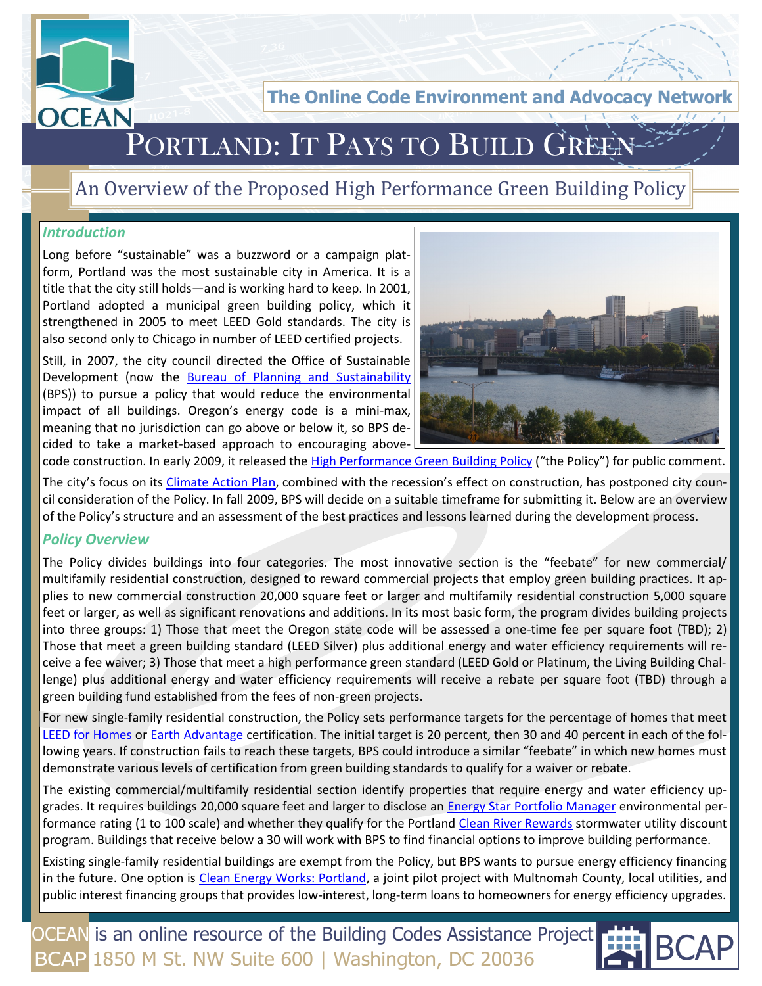

**The Online Code Environment and Advocacy** 

# PORTLAND: IT PAYS TO BUILD GREEN

## An Overview of the Proposed High Performance Green Building Policy

#### *Introduction*

Long before "sustainable" was a buzzword or a campaign platform, Portland was the most sustainable city in America. It is a title that the city still holds—and is working hard to keep. In 2001, Portland adopted a municipal green building policy, which it strengthened in 2005 to meet LEED Gold standards. The city is also second only to Chicago in number of LEED certified projects.

Still, in 2007, the city council directed the Office of Sustainable Development (now the [Bureau of Planning and Sustainability](http://www.portlandonline.com/bps/index.cfm?) (BPS)) to pursue a policy that would reduce the environmental impact of all buildings. Oregon's energy code is a mini-max, meaning that no jurisdiction can go above or below it, so BPS decided to take a market-based approach to encouraging above-



code construction. In early 2009, it released the [High Performance Green Building Policy](http://www.portlandonline.com/bps/index.cfm?c=45879&a=220879) ("the Policy") for public comment.

The city's focus on its [Climate Action Plan](http://www.portlandonline.com/bps/index.cfm?c=41896), combined with the recession's effect on construction, has postponed city council consideration of the Policy. In fall 2009, BPS will decide on a suitable timeframe for submitting it. Below are an overview of the Policy's structure and an assessment of the best practices and lessons learned during the development process.

#### *Policy Overview*

The Policy divides buildings into four categories. The most innovative section is the "feebate" for new commercial/ multifamily residential construction, designed to reward commercial projects that employ green building practices. It applies to new commercial construction 20,000 square feet or larger and multifamily residential construction 5,000 square feet or larger, as well as significant renovations and additions. In its most basic form, the program divides building projects into three groups: 1) Those that meet the Oregon state code will be assessed a one-time fee per square foot (TBD); 2) Those that meet a green building standard (LEED Silver) plus additional energy and water efficiency requirements will receive a fee waiver; 3) Those that meet a high performance green standard (LEED Gold or Platinum, the Living Building Challenge) plus additional energy and water efficiency requirements will receive a rebate per square foot (TBD) through a green building fund established from the fees of non-green projects.

For new single-family residential construction, the Policy sets performance targets for the percentage of homes that meet [LEED for Homes](http://www.usgbc.org/DisplayPage.aspx?CMSPageID=147) or [Earth Advantage](http://www.earthadvantage.com/) certification. The initial target is 20 percent, then 30 and 40 percent in each of the following years. If construction fails to reach these targets, BPS could introduce a similar "feebate" in which new homes must demonstrate various levels of certification from green building standards to qualify for a waiver or rebate.

The existing commercial/multifamily residential section identify properties that require energy and water efficiency upgrades. It requires buildings 20,000 square feet and larger to disclose an [Energy Star Portfolio Manager](http://www.energystar.gov/index.cfm?c=evaluate_performance.bus_portfoliomanager) environmental performance rating (1 to 100 scale) and whether they qualify for the Portland [Clean River Rewards](http://www.portlandonline.com/BES/index.cfm?c=41976) stormwater utility discount program. Buildings that receive below a 30 will work with BPS to find financial options to improve building performance.

Existing single-family residential buildings are exempt from the Policy, but BPS wants to pursue energy efficiency financing in the future. One option is [Clean Energy Works: Portland,](http://www.cleanenergyworksportland.org/) a joint pilot project with Multnomah County, local utilities, and public interest financing groups that provides low-interest, long-term loans to homeowners for energy efficiency upgrades.

OCEAN is an online resource of the Building Codes Assistance Project BCAP 1850 M St. NW Suite 600 | Washington, DC 20036